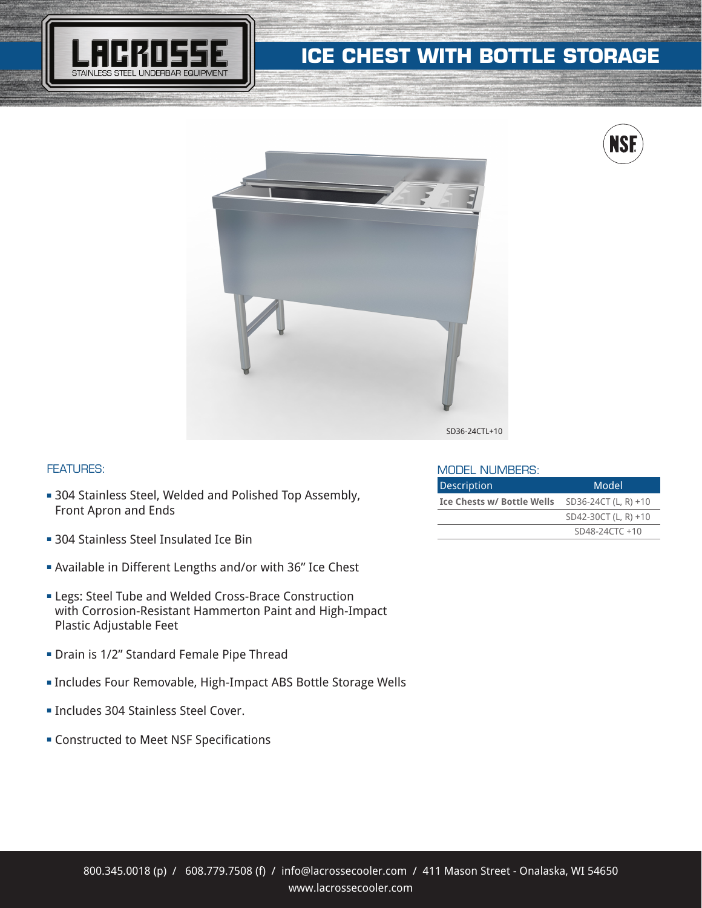

# **ICE CHEST WITH BOTTLE STORAGE**





### FEATURES:

- **304 Stainless Steel, Welded and Polished Top Assembly,** Front Apron and Ends
- **304 Stainless Steel Insulated Ice Bin**
- **Available in Different Lengths and/or with 36" Ice Chest**
- **ELegs: Steel Tube and Welded Cross-Brace Construction** with Corrosion-Resistant Hammerton Paint and High-Impact Plastic Adjustable Feet
- **-** Drain is 1/2" Standard Female Pipe Thread
- **Includes Four Removable, High-Impact ABS Bottle Storage Wells**
- **Includes 304 Stainless Steel Cover.**
- **EX Constructed to Meet NSF Specifications**

#### MODEL NUMBERS:

| <b>Description</b>                | Model                |
|-----------------------------------|----------------------|
| <b>Ice Chests w/ Bottle Wells</b> | SD36-24CT (L, R) +10 |
|                                   | SD42-30CT (L, R) +10 |
|                                   | $SD48-24CTC +10$     |